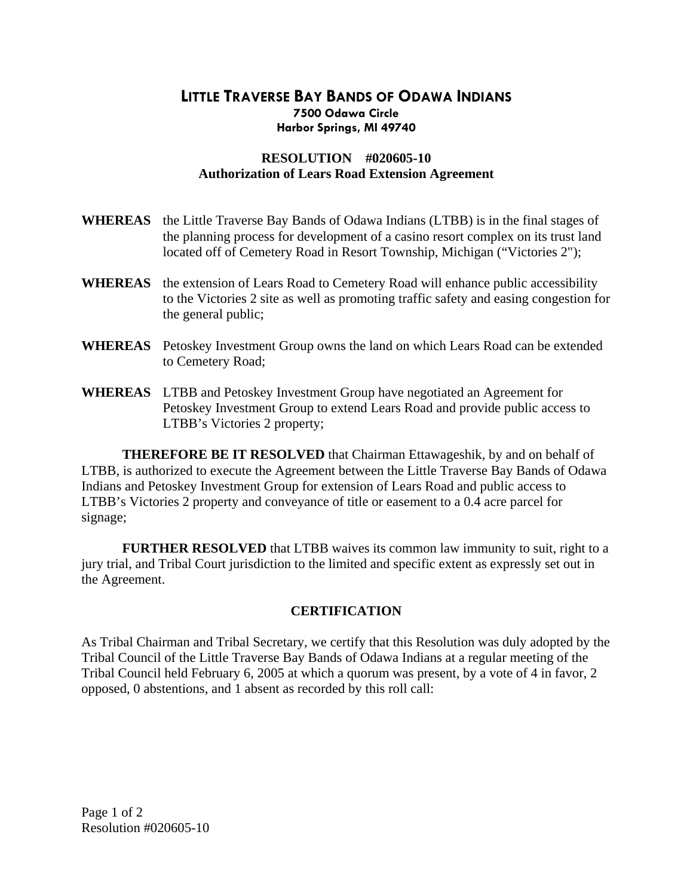## **LITTLE TRAVERSE BAY BANDS OF ODAWA INDIANS 7500 Odawa Circle Harbor Springs, MI 49740**

## **RESOLUTION #020605-10 Authorization of Lears Road Extension Agreement**

| <b>WHEREAS</b> | the Little Traverse Bay Bands of Odawa Indians (LTBB) is in the final stages of<br>the planning process for development of a casino resort complex on its trust land<br>located off of Cemetery Road in Resort Township, Michigan ("Victories 2"); |
|----------------|----------------------------------------------------------------------------------------------------------------------------------------------------------------------------------------------------------------------------------------------------|
| <b>WHEREAS</b> | the extension of Lears Road to Cemetery Road will enhance public accessibility<br>to the Victories 2 site as well as promoting traffic safety and easing congestion for<br>the general public;                                                     |
|                | <b>WHEREAS</b> Petoskey Investment Group owns the land on which Lears Road can be extended<br>to Cemetery Road;                                                                                                                                    |
|                | <b>WHEREAS</b> LTBB and Petoskey Investment Group have negotiated an Agreement for<br>Petoskey Investment Group to extend Lears Road and provide public access to<br>LTBB's Victories 2 property;                                                  |

 **THEREFORE BE IT RESOLVED** that Chairman Ettawageshik, by and on behalf of LTBB, is authorized to execute the Agreement between the Little Traverse Bay Bands of Odawa Indians and Petoskey Investment Group for extension of Lears Road and public access to LTBB's Victories 2 property and conveyance of title or easement to a 0.4 acre parcel for signage;

**FURTHER RESOLVED** that LTBB waives its common law immunity to suit, right to a jury trial, and Tribal Court jurisdiction to the limited and specific extent as expressly set out in the Agreement.

## **CERTIFICATION**

As Tribal Chairman and Tribal Secretary, we certify that this Resolution was duly adopted by the Tribal Council of the Little Traverse Bay Bands of Odawa Indians at a regular meeting of the Tribal Council held February 6, 2005 at which a quorum was present, by a vote of 4 in favor, 2 opposed, 0 abstentions, and 1 absent as recorded by this roll call: